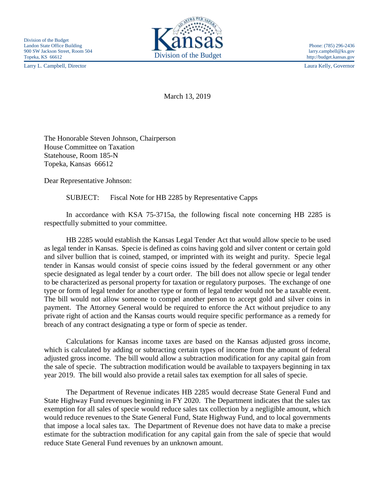Larry L. Campbell, Director Laura Kelly, Governor



March 13, 2019

The Honorable Steven Johnson, Chairperson House Committee on Taxation Statehouse, Room 185-N Topeka, Kansas 66612

Dear Representative Johnson:

SUBJECT: Fiscal Note for HB 2285 by Representative Capps

In accordance with KSA 75-3715a, the following fiscal note concerning HB 2285 is respectfully submitted to your committee.

HB 2285 would establish the Kansas Legal Tender Act that would allow specie to be used as legal tender in Kansas. Specie is defined as coins having gold and silver content or certain gold and silver bullion that is coined, stamped, or imprinted with its weight and purity. Specie legal tender in Kansas would consist of specie coins issued by the federal government or any other specie designated as legal tender by a court order. The bill does not allow specie or legal tender to be characterized as personal property for taxation or regulatory purposes. The exchange of one type or form of legal tender for another type or form of legal tender would not be a taxable event. The bill would not allow someone to compel another person to accept gold and silver coins in payment. The Attorney General would be required to enforce the Act without prejudice to any private right of action and the Kansas courts would require specific performance as a remedy for breach of any contract designating a type or form of specie as tender.

Calculations for Kansas income taxes are based on the Kansas adjusted gross income, which is calculated by adding or subtracting certain types of income from the amount of federal adjusted gross income. The bill would allow a subtraction modification for any capital gain from the sale of specie. The subtraction modification would be available to taxpayers beginning in tax year 2019. The bill would also provide a retail sales tax exemption for all sales of specie.

The Department of Revenue indicates HB 2285 would decrease State General Fund and State Highway Fund revenues beginning in FY 2020. The Department indicates that the sales tax exemption for all sales of specie would reduce sales tax collection by a negligible amount, which would reduce revenues to the State General Fund, State Highway Fund, and to local governments that impose a local sales tax. The Department of Revenue does not have data to make a precise estimate for the subtraction modification for any capital gain from the sale of specie that would reduce State General Fund revenues by an unknown amount.